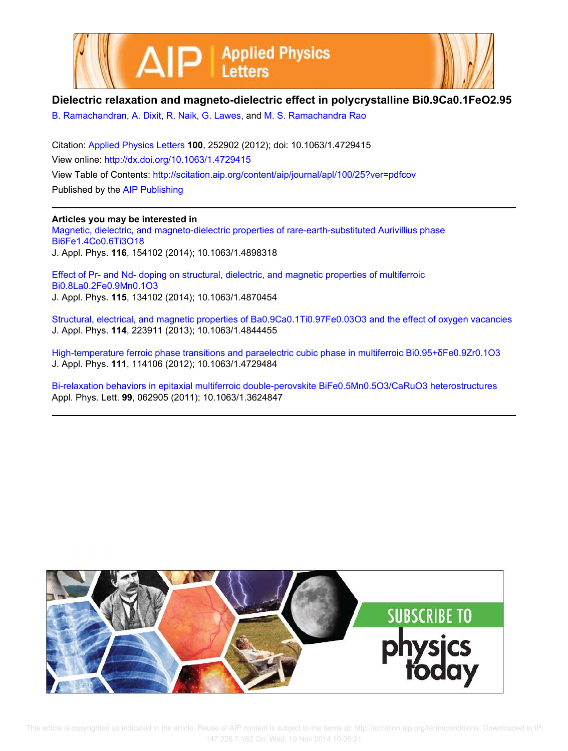



## **Dielectric relaxation and magneto-dielectric effect in polycrystalline Bi0.9Ca0.1FeO2.95**

B. Ramachandran, A. Dixit, R. Naik, G. Lawes, and M. S. Ramachandra Rao

Citation: Applied Physics Letters **100**, 252902 (2012); doi: 10.1063/1.4729415 View online: http://dx.doi.org/10.1063/1.4729415 View Table of Contents: http://scitation.aip.org/content/aip/journal/apl/100/25?ver=pdfcov Published by the AIP Publishing

**Articles you may be interested in** Magnetic, dielectric, and magneto-dielectric properties of rare-earth-substituted Aurivillius phase Bi6Fe1.4Co0.6Ti3O18 J. Appl. Phys. **116**, 154102 (2014); 10.1063/1.4898318

Effect of Pr- and Nd- doping on structural, dielectric, and magnetic properties of multiferroic Bi0.8La0.2Fe0.9Mn0.1O3 J. Appl. Phys. **115**, 134102 (2014); 10.1063/1.4870454

Structural, electrical, and magnetic properties of Ba0.9Ca0.1Ti0.97Fe0.03O3 and the effect of oxygen vacancies J. Appl. Phys. **114**, 223911 (2013); 10.1063/1.4844455

High-temperature ferroic phase transitions and paraelectric cubic phase in multiferroic Bi0.95+δFe0.9Zr0.1O3 J. Appl. Phys. **111**, 114106 (2012); 10.1063/1.4729484

Bi-relaxation behaviors in epitaxial multiferroic double-perovskite BiFe0.5Mn0.5O3/CaRuO3 heterostructures Appl. Phys. Lett. **99**, 062905 (2011); 10.1063/1.3624847



 This article is copyrighted as indicated in the article. Reuse of AIP content is subject to the terms at: http://scitation.aip.org/termsconditions. Downloaded to IP: 147.226.7.162 On: Wed, 19 Nov 2014 10:05:21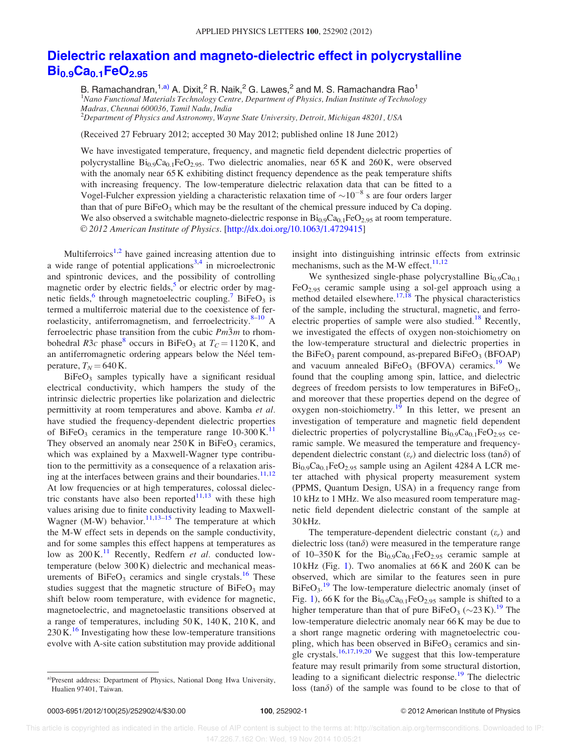## Dielectric relaxation and magneto-dielectric effect in polycrystalline  $Bi_{0.9}Ca_{0.1}FeO_{2.95}$

B. Ramachandran,  $1,$ a) A. Dixit,  $^2$  R. Naik,  $^2$  G. Lawes,  $^2$  and M. S. Ramachandra Rao $^1$ <sup>1</sup>Nano Functional Materials Technology Centre, Department of Physics, Indian Institute of Technology Madras, Chennai 600036, Tamil Nadu, India

 $^{2}$ Department of Physics and Astronomy, Wayne State University, Detroit, Michigan 48201, USA

(Received 27 February 2012; accepted 30 May 2012; published online 18 June 2012)

We have investigated temperature, frequency, and magnetic field dependent dielectric properties of polycrystalline  $Bi_{0.9}Ca_{0.1}FeO_{2.95}$ . Two dielectric anomalies, near 65 K and 260 K, were observed with the anomaly near 65 K exhibiting distinct frequency dependence as the peak temperature shifts with increasing frequency. The low-temperature dielectric relaxation data that can be fitted to a Vogel-Fulcher expression yielding a characteristic relaxation time of  $\sim 10^{-8}$  s are four orders larger than that of pure  $BiFeO<sub>3</sub>$  which may be the resultant of the chemical pressure induced by Ca doping. We also observed a switchable magneto-dielectric response in  $Bi_{0.9}Ca_{0.1}FeO_{2.95}$  at room temperature. V<sup>C</sup> 2012 American Institute of Physics. [http://dx.doi.org/10.1063/1.4729415]

Multiferroics<sup>1,2</sup> have gained increasing attention due to a wide range of potential applications<sup>3,4</sup> in microelectronic and spintronic devices, and the possibility of controlling magnetic order by electric fields,<sup>5</sup> or electric order by magnetic fields,<sup>6</sup> through magnetoelectric coupling.<sup>7</sup> BiFeO<sub>3</sub> is termed a multiferroic material due to the coexistence of ferroelasticity, antiferromagnetism, and ferroelectricity. $8-10$  A ferroelectric phase transition from the cubic  $Pm\overline{3}m$  to rhombohedral  $R3c$  phase<sup>8</sup> occurs in BiFeO<sub>3</sub> at  $T_c = 1120$  K, and an antiferromagnetic ordering appears below the Néel temperature,  $T_N = 640$  K.

 $BiFeO<sub>3</sub>$  samples typically have a significant residual electrical conductivity, which hampers the study of the intrinsic dielectric properties like polarization and dielectric permittivity at room temperatures and above. Kamba et al. have studied the frequency-dependent dielectric properties of BiFeO<sub>3</sub> ceramics in the temperature range  $10-300 \text{ K}$ .<sup>11</sup> They observed an anomaly near  $250 \text{ K}$  in BiFeO<sub>3</sub> ceramics, which was explained by a Maxwell-Wagner type contribution to the permittivity as a consequence of a relaxation arising at the interfaces between grains and their boundaries. $11,12$ At low frequencies or at high temperatures, colossal dielectric constants have also been reported $11,13$  with these high values arising due to finite conductivity leading to Maxwell-Wagner  $(M-W)$  behavior.<sup>11,13–15</sup> The temperature at which the M-W effect sets in depends on the sample conductivity, and for some samples this effect happens at temperatures as low as  $200 \text{ K}^{11}$  Recently, Redfern *et al.* conducted lowtemperature (below 300 K) dielectric and mechanical measurements of  $BiFeO<sub>3</sub>$  ceramics and single crystals.<sup>16</sup> These studies suggest that the magnetic structure of  $BiFeO<sub>3</sub>$  may shift below room temperature, with evidence for magnetic, magnetoelectric, and magnetoelastic transitions observed at a range of temperatures, including 50 K, 140 K, 210 K, and  $230 \text{ K}^{16}$  Investigating how these low-temperature transitions evolve with A-site cation substitution may provide additional insight into distinguishing intrinsic effects from extrinsic mechanisms, such as the M-W effect. $11,12$ 

We synthesized single-phase polycrystalline  $Bi_{0.9}Ca_{0.1}$ FeO2.95 ceramic sample using a sol-gel approach using a method detailed elsewhere. $17,18$  The physical characteristics of the sample, including the structural, magnetic, and ferroelectric properties of sample were also studied.<sup>18</sup> Recently, we investigated the effects of oxygen non-stoichiometry on the low-temperature structural and dielectric properties in the BiFe $O_3$  parent compound, as-prepared BiFe $O_3$  (BFOAP) and vacuum annealed  $BiFeO<sub>3</sub>$  (BFOVA) ceramics.<sup>19</sup> We found that the coupling among spin, lattice, and dielectric degrees of freedom persists to low temperatures in  $BiFeO<sub>3</sub>$ , and moreover that these properties depend on the degree of oxygen non-stoichiometry.<sup>19</sup> In this letter, we present an investigation of temperature and magnetic field dependent dielectric properties of polycrystalline  $Bi_{0.9}Ca_{0.1}FeO_{2.95}$  ceramic sample. We measured the temperature and frequencydependent dielectric constant  $(\varepsilon_r)$  and dielectric loss  $(\tan \delta)$  of  $Bi_{0.9}Ca_{0.1}FeO_{2.95}$  sample using an Agilent 4284 A LCR meter attached with physical property measurement system (PPMS, Quantum Design, USA) in a frequency range from 10 kHz to 1 MHz. We also measured room temperature magnetic field dependent dielectric constant of the sample at 30 kHz.

The temperature-dependent dielectric constant  $(\varepsilon_r)$  and dielectric loss (tan $\delta$ ) were measured in the temperature range of 10–350 K for the  $Bi_{0.9}Ca_{0.1}FeO_{2.95}$  ceramic sample at  $10 \text{ kHz}$  (Fig. 1). Two anomalies at  $66 \text{ K}$  and  $260 \text{ K}$  can be observed, which are similar to the features seen in pure  $BiFeO<sub>3</sub>$ .<sup>19</sup> The low-temperature dielectric anomaly (inset of Fig. 1), 66 K for the  $Bi_{0.9}Ca_{0.1}FeO_{2.95}$  sample is shifted to a higher temperature than that of pure  $B$ iFeO<sub>3</sub> (~23 K).<sup>19</sup> The low-temperature dielectric anomaly near 66 K may be due to a short range magnetic ordering with magnetoelectric coupling, which has been observed in  $BiFeO<sub>3</sub>$  ceramics and single crystals.<sup>16,17,19,20</sup> We suggest that this low-temperature feature may result primarily from some structural distortion, leading to a significant dielectric response.<sup>19</sup> The dielectric loss  $(tan\delta)$  of the sample was found to be close to that of

a)Present address: Department of Physics, National Dong Hwa University, Hualien 97401, Taiwan.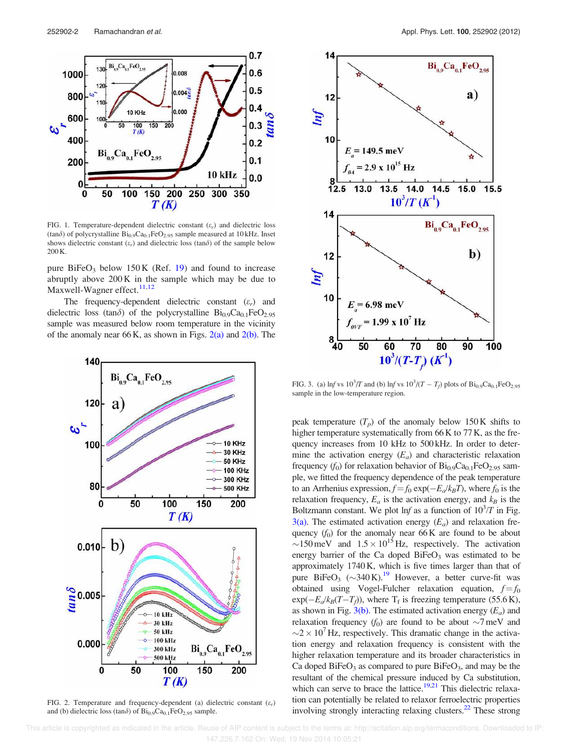

FIG. 1. Temperature-dependent dielectric constant  $(\varepsilon_r)$  and dielectric loss (tan $\delta$ ) of polycrystalline  $Bi_{0.9}Ca_{0.1}FeO_{2.95}$  sample measured at 10 kHz. Inset shows dielectric constant  $(\varepsilon_r)$  and dielectric loss (tan $\delta$ ) of the sample below 200 K.

pure  $BiFeO<sub>3</sub>$  below 150 K (Ref. 19) and found to increase abruptly above 200 K in the sample which may be due to Maxwell-Wagner effect.<sup>11,12</sup>

The frequency-dependent dielectric constant  $(\varepsilon_r)$  and dielectric loss (tan $\delta$ ) of the polycrystalline Bi<sub>0.9</sub>Ca<sub>0.1</sub>FeO<sub>2.95</sub> sample was measured below room temperature in the vicinity of the anomaly near 66 K, as shown in Figs.  $2(a)$  and  $2(b)$ . The



FIG. 2. Temperature and frequency-dependent (a) dielectric constant  $(\varepsilon_r)$ and (b) dielectric loss (tan $\delta$ ) of Bi<sub>0.9</sub>Ca<sub>0.1</sub>FeO<sub>2.95</sub> sample.



FIG. 3. (a) lnf vs  $10^3/T$  and (b) lnf vs  $10^3/(T - T_f)$  plots of  $Bi_{0.9}Ca_{0.1}FeO_{2.95}$ sample in the low-temperature region.

peak temperature  $(T_p)$  of the anomaly below 150 K shifts to higher temperature systematically from 66 K to 77 K, as the frequency increases from 10 kHz to 500 kHz. In order to determine the activation energy  $(E_a)$  and characteristic relaxation frequency  $(f_0)$  for relaxation behavior of  $Bi_{0.9}Ca_{0.1}FeO_{2.95}$  sample, we fitted the frequency dependence of the peak temperature to an Arrhenius expression,  $f = f_0 \exp(-E_a/k_B T)$ , where  $f_0$  is the relaxation frequency,  $E_a$  is the activation energy, and  $k_B$  is the Boltzmann constant. We plot  $\ln f$  as a function of  $10^3/T$  in Fig. 3(a). The estimated activation energy  $(E_a)$  and relaxation frequency  $(f_0)$  for the anomaly near 66 K are found to be about  $\sim$ 150 meV and  $1.5 \times 10^{15}$  Hz, respectively. The activation energy barrier of the Ca doped  $BiFeO<sub>3</sub>$  was estimated to be approximately 1740 K, which is five times larger than that of pure BiFeO<sub>3</sub> ( $\sim$ 340 K).<sup>19</sup> However, a better curve-fit was obtained using Vogel-Fulcher relaxation equation,  $f = f_0$  $\exp(-E_d/k_B(T-T_f))$ , where T<sub>f</sub> is freezing temperature (55.6 K), as shown in Fig.  $3(b)$ . The estimated activation energy  $(E_a)$  and relaxation frequency  $(f_0)$  are found to be about  $\sim 7 \text{ meV}$  and  $\sim$ 2  $\times$  10<sup>7</sup> Hz, respectively. This dramatic change in the activation energy and relaxation frequency is consistent with the higher relaxation temperature and its broader characteristics in Ca doped  $BiFeO<sub>3</sub>$  as compared to pure  $BiFeO<sub>3</sub>$ , and may be the resultant of the chemical pressure induced by Ca substitution, which can serve to brace the lattice.<sup>19,21</sup> This dielectric relaxation can potentially be related to relaxor ferroelectric properties involving strongly interacting relaxing clusters.<sup>22</sup> These strong

 This article is copyrighted as indicated in the article. Reuse of AIP content is subject to the terms at: http://scitation.aip.org/termsconditions. Downloaded to IP: 147.226.7.162 On: Wed, 19 Nov 2014 10:05:21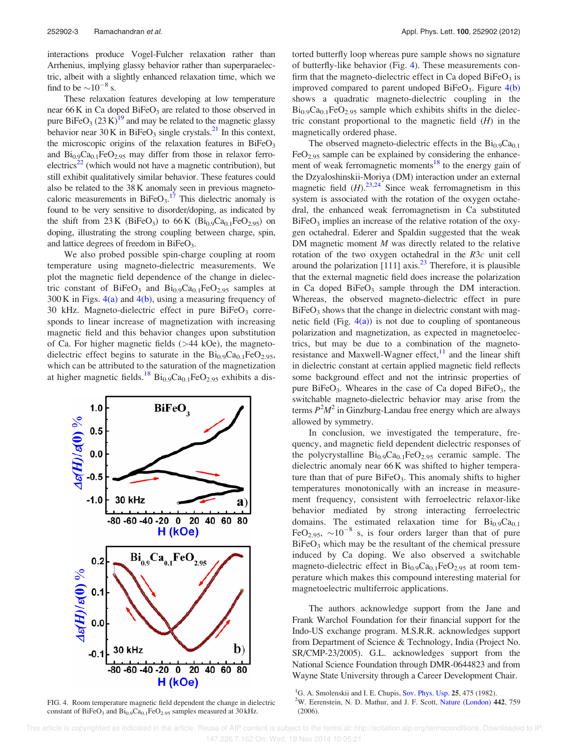interactions produce Vogel-Fulcher relaxation rather than Arrhenius, implying glassy behavior rather than superparaelectric, albeit with a slightly enhanced relaxation time, which we find to be  $\sim 10^{-8}$  s.

These relaxation features developing at low temperature near 66 K in Ca doped BiFeO<sub>3</sub> are related to those observed in pure BiFeO<sub>3</sub> (23 K)<sup>19</sup> and may be related to the magnetic glassy behavior near  $30K$  in BiFeO<sub>3</sub> single crystals.<sup>21</sup> In this context, the microscopic origins of the relaxation features in  $BiFeO<sub>3</sub>$ and  $Bi_{0.9}Ca_{0.1}FeO_{2.95}$  may differ from those in relaxor ferro $electrics<sup>22</sup>$  (which would not have a magnetic contribution), but still exhibit qualitatively similar behavior. These features could also be related to the 38 K anomaly seen in previous magnetocaloric measurements in  $BiFeO<sub>3</sub>$ .<sup>17</sup> This dielectric anomaly is found to be very sensitive to disorder/doping, as indicated by the shift from  $23 K$  (BiFeO<sub>3</sub>) to  $66 K$  (Bi<sub>0.9</sub>Ca<sub>0.1</sub>FeO<sub>2.95</sub>) on doping, illustrating the strong coupling between charge, spin, and lattice degrees of freedom in  $BiFeO<sub>3</sub>$ .

We also probed possible spin-charge coupling at room temperature using magneto-dielectric measurements. We plot the magnetic field dependence of the change in dielectric constant of  $BiFeO<sub>3</sub>$  and  $Bi<sub>0.9</sub>Ca<sub>0.1</sub>FeO<sub>2.95</sub>$  samples at  $300 \text{ K}$  in Figs.  $4(a)$  and  $4(b)$ , using a measuring frequency of 30 kHz. Magneto-dielectric effect in pure  $BiFeO<sub>3</sub>$  corresponds to linear increase of magnetization with increasing magnetic field and this behavior changes upon substitution of Ca. For higher magnetic fields (>44 kOe), the magnetodielectric effect begins to saturate in the  $Bi_{0.9}Ca_{0.1}FeO_{2.95}$ , which can be attributed to the saturation of the magnetization at higher magnetic fields.<sup>18</sup> Bi<sub>0.9</sub>Ca<sub>0.1</sub>FeO<sub>2.95</sub> exhibits a dis-



FIG. 4. Room temperature magnetic field dependent the change in dielectric constant of BiFeO<sub>3</sub> and  $Bi_{0.9}Ca_{0.1}FeO_{2.95}$  samples measured at 30 kHz.

torted butterfly loop whereas pure sample shows no signature of butterfly-like behavior (Fig. 4). These measurements confirm that the magneto-dielectric effect in Ca doped  $BiFeO<sub>3</sub>$  is improved compared to parent undoped BiFeO<sub>3</sub>. Figure  $4(b)$ shows a quadratic magneto-dielectric coupling in the  $Bi_{0.9}Ca_{0.1}FeO_{2.95}$  sample which exhibits shifts in the dielectric constant proportional to the magnetic field  $(H)$  in the magnetically ordered phase.

The observed magneto-dielectric effects in the  $Bi_{0.9}Ca_{0.1}$  $FeO<sub>2.95</sub>$  sample can be explained by considering the enhancement of weak ferromagnetic moments<sup>18</sup> to the energy gain of the Dzyaloshinskii-Moriya (DM) interaction under an external magnetic field  $(H)$ .<sup>23,24</sup> Since weak ferromagnetism in this system is associated with the rotation of the oxygen octahedral, the enhanced weak ferromagnetism in Ca substituted  $BiFeO<sub>3</sub>$  implies an increase of the relative rotation of the oxygen octahedral. Ederer and Spaldin suggested that the weak DM magnetic moment  $M$  was directly related to the relative rotation of the two oxygen octahedral in the R3c unit cell around the polarization [111] axis. $^{23}$  Therefore, it is plausible that the external magnetic field does increase the polarization in Ca doped  $BiFeO<sub>3</sub>$  sample through the DM interaction. Whereas, the observed magneto-dielectric effect in pure  $BiFeO<sub>3</sub>$  shows that the change in dielectric constant with magnetic field (Fig.  $4(a)$ ) is not due to coupling of spontaneous polarization and magnetization, as expected in magnetoelectrics, but may be due to a combination of the magnetoresistance and Maxwell-Wagner effect, $11$  and the linear shift in dielectric constant at certain applied magnetic field reflects some background effect and not the intrinsic properties of pure BiFe $O_3$ . Wheares in the case of Ca doped BiFe $O_3$ , the switchable magneto-dielectric behavior may arise from the terms  $P^2M^2$  in Ginzburg-Landau free energy which are always allowed by symmetry.

In conclusion, we investigated the temperature, frequency, and magnetic field dependent dielectric responses of the polycrystalline  $Bi_{0.9}Ca_{0.1}FeO_{2.95}$  ceramic sample. The dielectric anomaly near 66 K was shifted to higher temperature than that of pure  $BiFeO<sub>3</sub>$ . This anomaly shifts to higher temperatures monotonically with an increase in measurement frequency, consistent with ferroelectric relaxor-like behavior mediated by strong interacting ferroelectric domains. The estimated relaxation time for  $Bi_{0.9}Ca_{0.1}$ FeO<sub>2.95</sub>,  $\sim 10^{-8}$  s, is four orders larger than that of pure BiFeO<sub>3</sub> which may be the resultant of the chemical pressure induced by Ca doping. We also observed a switchable magneto-dielectric effect in  $Bi_{0.9}Ca_{0.1}FeO_{2.95}$  at room temperature which makes this compound interesting material for magnetoelectric multiferroic applications.

The authors acknowledge support from the Jane and Frank Warchol Foundation for their financial support for the Indo-US exchange program. M.S.R.R. acknowledges support from Department of Science & Technology, India (Project No. SR/CMP-23/2005). G.L. acknowledges support from the National Science Foundation through DMR-0644823 and from Wayne State University through a Career Development Chair.

(2006).

<sup>&</sup>lt;sup>1</sup>G. A. Smolenskii and I. E. Chupis, Sov. Phys. Usp.  $25, 475$  (1982).  $2$ W. Eerenstein, N. D. Mathur, and J. F. Scott, Nature (London) 442, 759

This article is copyrighted as indicated in the article. Reuse of AIP content is subject to the terms at: http://scitation.aip.org/termsconditions. Downloaded to IP: 147.226.7.162 On: Wed, 19 Nov 2014 10:05:21